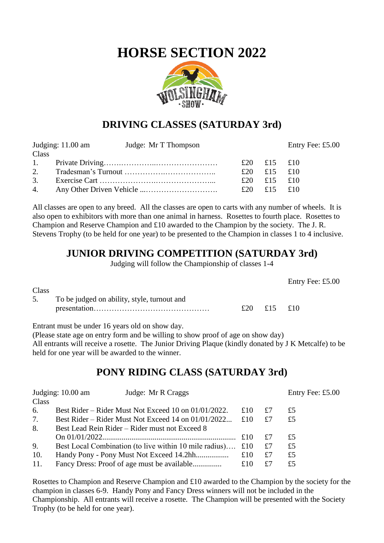# **HORSE SECTION 2022**



### **DRIVING CLASSES (SATURDAY 3rd)**

|       | Judging: $11.00$ am | Judge: Mr T Thompson |             | Entry Fee: £5.00 |
|-------|---------------------|----------------------|-------------|------------------|
| Class |                     |                      |             |                  |
|       |                     |                      | £20 £15 £10 |                  |
|       |                     |                      | £20 £15 £10 |                  |
|       |                     |                      | £20 £15 £10 |                  |
|       |                     |                      | £20 £15 £10 |                  |

All classes are open to any breed. All the classes are open to carts with any number of wheels. It is also open to exhibitors with more than one animal in harness. Rosettes to fourth place. Rosettes to Champion and Reserve Champion and £10 awarded to the Champion by the society. The J. R. Stevens Trophy (to be held for one year) to be presented to the Champion in classes 1 to 4 inclusive.

### **JUNIOR DRIVING COMPETITION (SATURDAY 3rd)**

Judging will follow the Championship of classes 1-4

|       |                                             |     |         | Entry Fee: £5.00 |
|-------|---------------------------------------------|-----|---------|------------------|
| Class |                                             |     |         |                  |
| 5.    | To be judged on ability, style, turnout and |     |         |                  |
|       |                                             | £20 | £15 £10 |                  |
|       |                                             |     |         |                  |

Entrant must be under 16 years old on show day.

(Please state age on entry form and be willing to show proof of age on show day)

All entrants will receive a rosette. The Junior Driving Plaque (kindly donated by J K Metcalfe) to be held for one year will be awarded to the winner.

### **PONY RIDING CLASS (SATURDAY 3rd)**

|       | Judging: 10.00 am<br>Judge: Mr R Craggs                |     |    | Entry Fee: £5.00 |
|-------|--------------------------------------------------------|-----|----|------------------|
| Class |                                                        |     |    |                  |
| 6.    | Best Rider – Rider Must Not Exceed 10 on 01/01/2022.   | £10 | £7 | £5               |
| 7.    | Best Rider – Rider Must Not Exceed 14 on 01/01/2022    | £10 | £7 | £5               |
| 8.    | Best Lead Rein Rider – Rider must not Exceed 8         |     |    |                  |
|       |                                                        | £10 | £7 | £5               |
| 9.    | Best Local Combination (to live within 10 mile radius) | £10 | £7 | £5               |
| 10.   |                                                        | £10 | £7 | £5               |
| 11.   |                                                        | £10 | £7 | £5               |

Rosettes to Champion and Reserve Champion and £10 awarded to the Champion by the society for the champion in classes 6-9. Handy Pony and Fancy Dress winners will not be included in the Championship. All entrants will receive a rosette. The Champion will be presented with the Society Trophy (to be held for one year).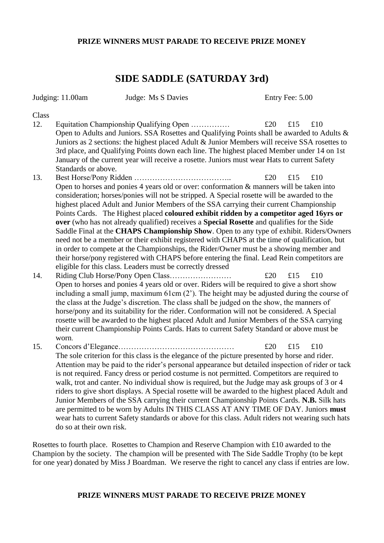#### **PRIZE WINNERS MUST PARADE TO RECEIVE PRIZE MONEY**

### **SIDE SADDLE (SATURDAY 3rd)**

|              | Judging: 11.00am         | Judge: Ms S Davies                                                                                                                                                                                                                                                                                                                                                                                                                                                                                                                                                                                                                                                                                                                                                                                                                                             | Entry Fee: 5.00   |
|--------------|--------------------------|----------------------------------------------------------------------------------------------------------------------------------------------------------------------------------------------------------------------------------------------------------------------------------------------------------------------------------------------------------------------------------------------------------------------------------------------------------------------------------------------------------------------------------------------------------------------------------------------------------------------------------------------------------------------------------------------------------------------------------------------------------------------------------------------------------------------------------------------------------------|-------------------|
| Class<br>12. |                          | Equitation Championship Qualifying Open<br>Open to Adults and Juniors. SSA Rosettes and Qualifying Points shall be awarded to Adults &<br>Juniors as 2 sections: the highest placed Adult & Junior Members will receive SSA rosettes to<br>3rd place, and Qualifying Points down each line. The highest placed Member under 14 on 1st<br>January of the current year will receive a rosette. Juniors must wear Hats to current Safety                                                                                                                                                                                                                                                                                                                                                                                                                          | £20<br>£15<br>£10 |
| 13.          | Standards or above.      | Open to horses and ponies 4 years old or over: conformation & manners will be taken into<br>consideration; horses/ponies will not be stripped. A Special rosette will be awarded to the<br>highest placed Adult and Junior Members of the SSA carrying their current Championship<br>Points Cards. The Highest placed coloured exhibit ridden by a competitor aged 16yrs or<br>over (who has not already qualified) receives a Special Rosette and qualifies for the Side<br>Saddle Final at the CHAPS Championship Show. Open to any type of exhibit. Riders/Owners<br>need not be a member or their exhibit registered with CHAPS at the time of qualification, but<br>in order to compete at the Championships, the Rider/Owner must be a showing member and<br>their horse/pony registered with CHAPS before entering the final. Lead Rein competitors are | £20<br>£15<br>£10 |
| 14.          | worn.                    | eligible for this class. Leaders must be correctly dressed<br>Open to horses and ponies 4 years old or over. Riders will be required to give a short show<br>including a small jump, maximum $61cm(2')$ . The height may be adjusted during the course of<br>the class at the Judge's discretion. The class shall be judged on the show, the manners of<br>horse/pony and its suitability for the rider. Conformation will not be considered. A Special<br>rosette will be awarded to the highest placed Adult and Junior Members of the SSA carrying<br>their current Championship Points Cards. Hats to current Safety Standard or above must be                                                                                                                                                                                                             | £20<br>£15<br>£10 |
| 15.          | do so at their own risk. | The sole criterion for this class is the elegance of the picture presented by horse and rider.<br>Attention may be paid to the rider's personal appearance but detailed inspection of rider or tack<br>is not required. Fancy dress or period costume is not permitted. Competitors are required to<br>walk, trot and canter. No individual show is required, but the Judge may ask groups of 3 or 4<br>riders to give short displays. A Special rosette will be awarded to the highest placed Adult and<br>Junior Members of the SSA carrying their current Championship Points Cards. N.B. Silk hats<br>are permitted to be worn by Adults IN THIS CLASS AT ANY TIME OF DAY. Juniors must<br>wear hats to current Safety standards or above for this class. Adult riders not wearing such hats                                                               | £20<br>£15<br>£10 |

Rosettes to fourth place. Rosettes to Champion and Reserve Champion with £10 awarded to the Champion by the society. The champion will be presented with The Side Saddle Trophy (to be kept for one year) donated by Miss J Boardman. We reserve the right to cancel any class if entries are low.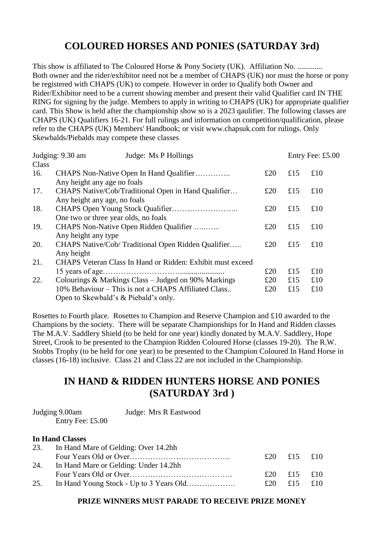## **COLOURED HORSES AND PONIES (SATURDAY 3rd)**

This show is affiliated to The Coloured Horse & Pony Society (UK). Affiliation No. ............. Both owner and the rider/exhibitor need not be a member of CHAPS (UK) nor must the horse or pony be registered with CHAPS (UK) to compete. However in order to Qualify both Owner and Rider/Exhibitor need to be a current showing member and present their valid Qualifier card IN THE RING for signing by the judge. Members to apply in writing to CHAPS (UK) for appropriate qualifier card. This Show is held after the championship show so is a 2023 qaulifier. The following classes are CHAPS (UK) Qualifiers 16-21. For full rulings and information on competition/qualification, please refer to the CHAPS (UK) Members' Handbook; or visit www.chapsuk.com for rulings. Only Skewbalds/Piebalds may compete these classes

| Judge: Ms P Hollings<br>Judging: 9.30 am |                              |                                                                                              |     | Entry Fee: £5.00 |     |
|------------------------------------------|------------------------------|----------------------------------------------------------------------------------------------|-----|------------------|-----|
| Class                                    |                              |                                                                                              |     |                  |     |
| 16.                                      | Any height any age no foals  | CHAPS Non-Native Open In Hand Qualifier                                                      | £20 | £15              | £10 |
| 17.                                      | Any height any age, no foals | CHAPS Native/Cob/Traditional Open in Hand Qualifier                                          | £20 | £15              | £10 |
| 18.                                      |                              | One two or three year olds, no foals                                                         | £20 | £15              | £10 |
| 19.                                      | Any height any type          | CHAPS Non-Native Open Ridden Qualifier                                                       | £20 | £15              | £10 |
| 20.                                      | Any height                   | CHAPS Native/Cob/ Traditional Open Ridden Qualifier                                          | £20 | £15              | £10 |
| 21.                                      |                              | CHAPS Veteran Class In Hand or Ridden: Exhibit must exceed                                   |     |                  |     |
|                                          |                              |                                                                                              | £20 | £15              | £10 |
| 22.                                      |                              | Colourings & Markings Class – Judged on 90% Markings                                         | £20 | £15              | £10 |
|                                          |                              | 10% Behaviour – This is not a CHAPS Affiliated Class<br>Open to Skewbald's & Piebald's only. | £20 | £15              | £10 |

Rosettes to Fourth place. Rosettes to Champion and Reserve Champion and £10 awarded to the Champions by the society. There will be separate Championships for In Hand and Ridden classes The M.A.V. Saddlery Shield (to be held for one year) kindly donated by M.A.V. Saddlery, Hope Street, Crook to be presented to the Champion Ridden Coloured Horse (classes 19-20). The R.W. Stobbs Trophy (to be held for one year) to be presented to the Champion Coloured In Hand Horse in classes (16-18) inclusive. Class 21 and Class 22 are not included in the Championship.

### **IN HAND & RIDDEN HUNTERS HORSE AND PONIES (SATURDAY 3rd )**

| Judging 9.00am   | Judge: Mrs R Eastwood |
|------------------|-----------------------|
| Entry Fee: £5.00 |                       |

#### **In Hand Classes**

| 23. | In Hand Mare of Gelding: Over 14.2hh  |     |             |  |
|-----|---------------------------------------|-----|-------------|--|
|     |                                       |     | £20 £15 £10 |  |
| 24. | In Hand Mare or Gelding: Under 14.2hh |     |             |  |
|     |                                       | f20 | £15 £10     |  |
| 25. |                                       | £20 | £15 £10     |  |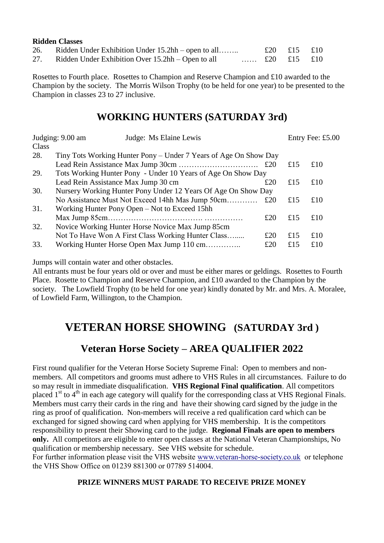| <b>Ridden Classes</b>                                  |                                        |             |  |
|--------------------------------------------------------|----------------------------------------|-------------|--|
| 26. Ridden Under Exhibition Under 15.2hh – open to all |                                        | £20 £15 £10 |  |
| 27. Ridden Under Exhibition Over 15.2hh – Open to all  | $\pounds 20$ $\pounds 15$ $\pounds 10$ |             |  |

Rosettes to Fourth place. Rosettes to Champion and Reserve Champion and £10 awarded to the Champion by the society. The Morris Wilson Trophy (to be held for one year) to be presented to the Champion in classes 23 to 27 inclusive.

### **WORKING HUNTERS (SATURDAY 3rd)**

| Judging: 9.00 am |                                     | Judge: Ms Elaine Lewis                                           |     | Entry Fee: £5.00 |     |
|------------------|-------------------------------------|------------------------------------------------------------------|-----|------------------|-----|
| Class            |                                     |                                                                  |     |                  |     |
| 28.              |                                     | Tiny Tots Working Hunter Pony – Under 7 Years of Age On Show Day |     |                  |     |
|                  |                                     |                                                                  |     | £15              | £10 |
| 29.              |                                     | Tots Working Hunter Pony - Under 10 Years of Age On Show Day     |     |                  |     |
|                  | Lead Rein Assistance Max Jump 30 cm |                                                                  | £20 | £15              | £10 |
| 30.              |                                     | Nursery Working Hunter Pony Under 12 Years Of Age On Show Day    |     |                  |     |
|                  |                                     | No Assistance Must Not Exceed 14hh Mas Jump 50cm                 | £20 | £15              | £10 |
| 31.              |                                     | Working Hunter Pony Open – Not to Exceed 15hh                    |     |                  |     |
|                  |                                     |                                                                  | £20 | £15              | £10 |
| 32.              |                                     | Novice Working Hunter Horse Novice Max Jump 85cm                 |     |                  |     |
|                  |                                     | Not To Have Won A First Class Working Hunter Class               | £20 | £15              | £10 |
| 33.              |                                     | Working Hunter Horse Open Max Jump 110 cm                        | £20 | £15              | £10 |

Jumps will contain water and other obstacles.

All entrants must be four years old or over and must be either mares or geldings. Rosettes to Fourth Place. Rosette to Champion and Reserve Champion, and £10 awarded to the Champion by the society. The Lowfield Trophy (to be held for one year) kindly donated by Mr. and Mrs. A. Moralee, of Lowfield Farm, Willington, to the Champion.

## **VETERAN HORSE SHOWING (SATURDAY 3rd )**

## **Veteran Horse Society – AREA QUALIFIER 2022**

First round qualifier for the Veteran Horse Society Supreme Final: Open to members and nonmembers. All competitors and grooms must adhere to VHS Rules in all circumstances. Failure to do so may result in immediate disqualification. **VHS Regional Final qualification**. All competitors placed 1<sup>st</sup> to 4<sup>th</sup> in each age category will qualify for the corresponding class at VHS Regional Finals. Members must carry their cards in the ring and have their showing card signed by the judge in the ring as proof of qualification. Non-members will receive a red qualification card which can be exchanged for signed showing card when applying for VHS membership. It is the competitors responsibility to present their Showing card to the judge. **Regional Finals are open to members only.** All competitors are eligible to enter open classes at the National Veteran Championships, No qualification or membership necessary. See VHS website for schedule.

For further information please visit the VHS website [www.veteran-horse-society.co.uk](http://www.veteran-horse-society.co.uk/) or telephone the VHS Show Office on 01239 881300 or 07789 514004.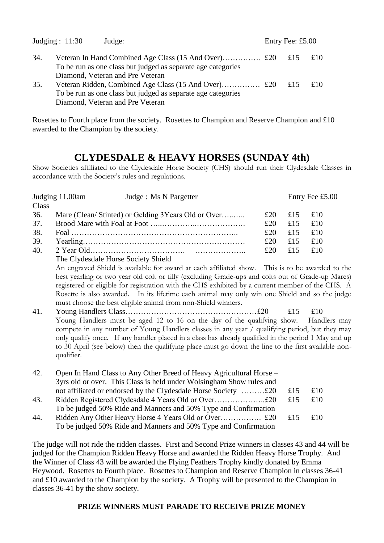|     | Judging : $11:30$<br>Judge:                                  | Entry Fee: £5.00 |     |
|-----|--------------------------------------------------------------|------------------|-----|
| 34. | To be run as one class but judged as separate age categories | $\pm 15$         | £10 |
|     | Diamond, Veteran and Pre Veteran                             |                  |     |
| 35. |                                                              | £15              | £10 |
|     | To be run as one class but judged as separate age categories |                  |     |
|     | Diamond, Veteran and Pre Veteran                             |                  |     |

Rosettes to Fourth place from the society. Rosettes to Champion and Reserve Champion and £10 awarded to the Champion by the society.

### **CLYDESDALE & HEAVY HORSES (SUNDAY 4th)**

Show Societies affiliated to the Clydesdale Horse Society (CHS) should run their Clydesdale Classes in accordance with the Society's rules and regulations.

| Judging 11.00am |                                     | Judge : Ms N Pargetter                                                                               |     |     | Entry Fee £5.00 |
|-----------------|-------------------------------------|------------------------------------------------------------------------------------------------------|-----|-----|-----------------|
| Class           |                                     |                                                                                                      |     |     |                 |
| 36.             |                                     | Mare (Clean/ Stinted) or Gelding 3Years Old or Over                                                  | £20 | £15 | £10             |
| 37.             |                                     |                                                                                                      | £20 | £15 | £10             |
| 38.             |                                     |                                                                                                      | £20 | £15 | £10             |
| 39.             |                                     |                                                                                                      | £20 | £15 | £10             |
| 40.             |                                     |                                                                                                      | £20 | £15 | £10             |
|                 | The Clydesdale Horse Society Shield |                                                                                                      |     |     |                 |
|                 |                                     | An engraved Shield is available for award at each affiliated show. This is to be awarded to the      |     |     |                 |
|                 |                                     | best yearling or two year old colt or filly (excluding Grade-ups and colts out of Grade-up Mares)    |     |     |                 |
|                 |                                     | registered or eligible for registration with the CHS exhibited by a current member of the CHS. A     |     |     |                 |
|                 |                                     | Rosette is also awarded. In its lifetime each animal may only win one Shield and so the judge        |     |     |                 |
|                 |                                     | must choose the best eligible animal from non-Shield winners.                                        |     |     |                 |
| 41.             |                                     |                                                                                                      |     | £15 | £10             |
|                 |                                     | Young Handlers must be aged 12 to 16 on the day of the qualifying show.                              |     |     | Handlers may    |
|                 |                                     | compete in any number of Young Handlers classes in any year / qualifying period, but they may        |     |     |                 |
|                 |                                     | only qualify once. If any handler placed in a class has already qualified in the period 1 May and up |     |     |                 |
|                 |                                     | to 30 April (see below) then the qualifying place must go down the line to the first available non-  |     |     |                 |
|                 | qualifier.                          |                                                                                                      |     |     |                 |
|                 |                                     |                                                                                                      |     |     |                 |
| 42.             |                                     | Open In Hand Class to Any Other Breed of Heavy Agricultural Horse –                                  |     |     |                 |
|                 |                                     | 3yrs old or over. This Class is held under Wolsingham Show rules and                                 |     |     |                 |
|                 |                                     | not affiliated or endorsed by the Clydesdale Horse Society £20                                       |     | £15 | £10             |
| 43.             |                                     |                                                                                                      |     | £15 | £10             |
|                 |                                     | To be judged 50% Ride and Manners and 50% Type and Confirmation                                      |     |     |                 |
| 44.             |                                     |                                                                                                      |     | £15 | £10             |
|                 |                                     | To be judged 50% Ride and Manners and 50% Type and Confirmation                                      |     |     |                 |

The judge will not ride the ridden classes. First and Second Prize winners in classes 43 and 44 will be judged for the Champion Ridden Heavy Horse and awarded the Ridden Heavy Horse Trophy. And the Winner of Class 43 will be awarded the Flying Feathers Trophy kindly donated by Emma Heywood. Rosettes to Fourth place. Rosettes to Champion and Reserve Champion in classes 36-41 and £10 awarded to the Champion by the society. A Trophy will be presented to the Champion in classes 36-41 by the show society.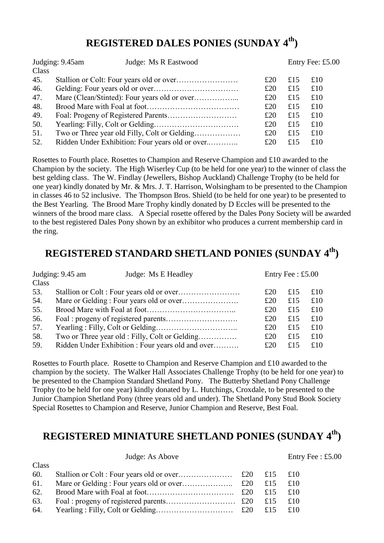## **REGISTERED DALES PONIES (SUNDAY 4 th)**

|       | Judging: 9.45am<br>Judge: Ms R Eastwood         |     |     | Entry Fee: £5.00 |  |
|-------|-------------------------------------------------|-----|-----|------------------|--|
| Class |                                                 |     |     |                  |  |
| 45.   |                                                 | £20 | £15 | £10              |  |
| 46.   |                                                 | £20 | £15 | £10              |  |
| 47.   |                                                 | £20 | £15 | £10              |  |
| 48.   |                                                 | £20 | £15 | £10              |  |
| 49.   |                                                 | £20 | £15 | £10              |  |
| 50.   |                                                 | £20 | £15 | £10              |  |
| 51.   |                                                 | £20 | £15 | £10              |  |
| 52.   | Ridden Under Exhibition: Four years old or over | £20 | £15 | £10              |  |

Rosettes to Fourth place. Rosettes to Champion and Reserve Champion and £10 awarded to the Champion by the society. The High Wiserley Cup (to be held for one year) to the winner of class the best gelding class. The W. Findlay (Jewellers, Bishop Auckland) Challenge Trophy (to be held for one year) kindly donated by Mr. & Mrs. J. T. Harrison, Wolsingham to be presented to the Champion in classes 46 to 52 inclusive. The Thompson Bros. Shield (to be held for one year) to be presented to the Best Yearling. The Brood Mare Trophy kindly donated by D Eccles will be presented to the winners of the brood mare class. A Special rosette offered by the Dales Pony Society will be awarded to the best registered Dales Pony shown by an exhibitor who produces a current membership card in the ring.

## **REGISTERED STANDARD SHETLAND PONIES (SUNDAY 4 th)**

|       | Judging: 9.45 am<br>Judge: Ms E Headley           |     | Entry Fee: $£5.00$ |     |  |
|-------|---------------------------------------------------|-----|--------------------|-----|--|
| Class |                                                   |     |                    |     |  |
| 53.   |                                                   | £20 | £15                | £10 |  |
| 54.   |                                                   | £20 | £15                | £10 |  |
| 55.   |                                                   | £20 | £15                | £10 |  |
| 56.   |                                                   | £20 | £15                | £10 |  |
| 57.   |                                                   | £20 | £15                | £10 |  |
| 58.   | Two or Three year old : Filly, Colt or Gelding    | £20 | £15                | £10 |  |
| 59.   | Ridden Under Exhibition : Four years old and over | £20 | £15                | £10 |  |

Rosettes to Fourth place. Rosette to Champion and Reserve Champion and £10 awarded to the champion by the society. The Walker Hall Associates Challenge Trophy (to be held for one year) to be presented to the Champion Standard Shetland Pony. The Butterby Shetland Pony Challenge Trophy (to be held for one year) kindly donated by L. Hutchings, Croxdale, to be presented to the Junior Champion Shetland Pony (three years old and under). The Shetland Pony Stud Book Society Special Rosettes to Champion and Reserve, Junior Champion and Reserve, Best Foal.

## **REGISTERED MINIATURE SHETLAND PONIES (SUNDAY 4 th)**

| Class |  |  |
|-------|--|--|
|       |  |  |
|       |  |  |
|       |  |  |
|       |  |  |
|       |  |  |

Judge: As Above Entry Fee : £5.00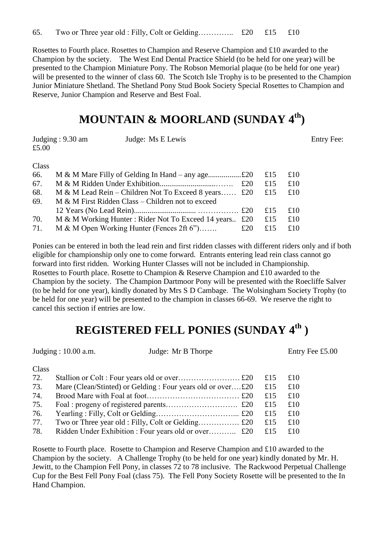Rosettes to Fourth place. Rosettes to Champion and Reserve Champion and £10 awarded to the Champion by the society. The West End Dental Practice Shield (to be held for one year) will be presented to the Champion Miniature Pony. The Robson Memorial plaque (to be held for one year) will be presented to the winner of class 60. The Scotch Isle Trophy is to be presented to the Champion Junior Miniature Shetland. The Shetland Pony Stud Book Society Special Rosettes to Champion and Reserve, Junior Champion and Reserve and Best Foal.

## **MOUNTAIN & MOORLAND (SUNDAY 4 th)**

| Judging: 9.30 am | Judge: Ms E Lewis | <b>Entry Fee:</b> |
|------------------|-------------------|-------------------|
| £5.00            |                   |                   |

Class

| 66. |                                                        |     | £15     | £10 |
|-----|--------------------------------------------------------|-----|---------|-----|
| 67. |                                                        | £20 | £15     | £10 |
| 68. | M & M Lead Rein – Children Not To Exceed 8 years £20   |     | £15     | £10 |
| 69. | M & M First Ridden Class – Children not to exceed      |     |         |     |
|     |                                                        |     | £15     | £10 |
| 70. | M & M Working Hunter: Rider Not To Exceed 14 years £20 |     | £15     | £10 |
| 71. | M & M Open Working Hunter (Fences 2ft 6")              | £20 | £15 £10 |     |

Ponies can be entered in both the lead rein and first ridden classes with different riders only and if both eligible for championship only one to come forward. Entrants entering lead rein class cannot go forward into first ridden. Working Hunter Classes will not be included in Championship. Rosettes to Fourth place. Rosette to Champion & Reserve Champion and £10 awarded to the Champion by the society. The Champion Dartmoor Pony will be presented with the Roecliffe Salver (to be held for one year), kindly donated by Mrs S D Cambage. The Wolsingham Society Trophy (to be held for one year) will be presented to the champion in classes 66-69. We reserve the right to cancel this section if entries are low.

## **REGISTERED FELL PONIES (SUNDAY 4 th )**

Judging : 10.00 a.m. Judge: Mr B Thorpe Entry Fee £5.00

| w<br>٠<br>٠<br>۰, |
|-------------------|
|-------------------|

| 72. |                                                             | £15 | £10 |
|-----|-------------------------------------------------------------|-----|-----|
| 73. | Mare (Clean/Stinted) or Gelding : Four years old or over£20 | £15 | £10 |
| 74. |                                                             | £15 | £10 |
| 75. |                                                             | £15 | £10 |
| 76. |                                                             | £15 | £10 |
| 77. |                                                             | £15 | £10 |
| 78. |                                                             | £15 | £10 |

Rosette to Fourth place. Rosette to Champion and Reserve Champion and £10 awarded to the Champion by the society. A Challenge Trophy (to be held for one year) kindly donated by Mr. H. Jewitt, to the Champion Fell Pony, in classes 72 to 78 inclusive. The Rackwood Perpetual Challenge Cup for the Best Fell Pony Foal (class 75). The Fell Pony Society Rosette will be presented to the In Hand Champion.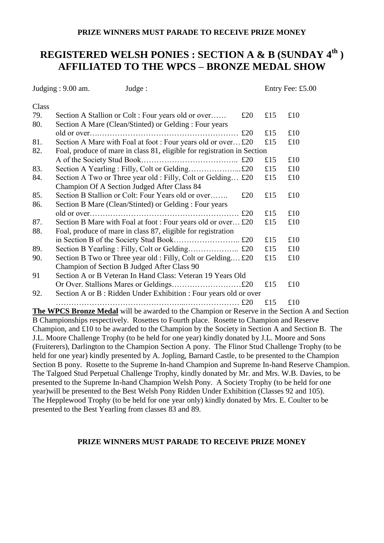#### **PRIZE WINNERS MUST PARADE TO RECEIVE PRIZE MONEY**

## **REGISTERED WELSH PONIES : SECTION A & B (SUNDAY 4 th ) AFFILIATED TO THE WPCS – BRONZE MEDAL SHOW**

Judging : 9.00 am. Judge : Entry Fee: £5.00 **Class** 79. Section A Stallion or Colt : Four years old or over……  $\text{\pounds}20$   $\text{\pounds}15$   $\text{\pounds}10$ 80. Section A Mare (Clean/Stinted) or Gelding : Four years old or over….……………………………………………… £20 £15 £10 81. Section A Mare with Foal at foot : Four years old or over... £20  $\pm 15$   $\pm 10$ 82. Foal, produce of mare in class 81, eligible for registration in Section A of the Society Stud Book……………………………….. £20 £15 £10 83. Section A Yearling : Filly, Colt or Gelding………………...£20 £15 £10 84. Section A Two or Three year old : Filly, Colt or Gelding...  $\text{\pounds}20 \quad \text{\pounds}15 \quad \text{\pounds}10$ Champion Of A Section Judged After Class 84 85. Section B Stallion or Colt: Four Years old or over……. £20 £15 £10 86. Section B Mare (Clean/Stinted) or Gelding : Four years old or over…………………………………………………. £20 £15 £10 87. Section B Mare with Foal at foot : Four years old or over... £20  $\pm 15$   $\pm 10$ 88. Foal, produce of mare in class 87, eligible for registration in Section B of the Society Stud Book…………………….. £20 £15 £10 89. Section B Yearling : Filly, Colt or Gelding…………………….. £20  $\text{£}15$   $\text{£}10$ 90. Section B Two or Three year old : Filly, Colt or Gelding..., £20  $\pm 15$   $\pm 10$ Champion of Section B Judged After Class 90 91 Section A or B Veteran In Hand Class: Veteran 19 Years Old Or Over. Stallions Mares or Geldings………………………£20 £15 £10 92. Section A or B : Ridden Under Exhibition : Four years old or over …………………………………………...………………… £20 £15 £10 **The WPCS Bronze Medal** will be awarded to the Champion or Reserve in the Section A and Section

B Championships respectively. Rosettes to Fourth place. Rosette to Champion and Reserve Champion, and £10 to be awarded to the Champion by the Society in Section A and Section B. The J.L. Moore Challenge Trophy (to be held for one year) kindly donated by J.L. Moore and Sons (Fruiterers), Darlington to the Champion Section A pony. The Flinor Stud Challenge Trophy (to be held for one year) kindly presented by A. Jopling, Barnard Castle, to be presented to the Champion Section B pony. Rosette to the Supreme In-hand Champion and Supreme In-hand Reserve Champion. The Talgoed Stud Perpetual Challenge Trophy, kindly donated by Mr. and Mrs. W.B. Davies, to be presented to the Supreme In-hand Champion Welsh Pony. A Society Trophy (to be held for one year)will be presented to the Best Welsh Pony Ridden Under Exhibition (Classes 92 and 105). The Hepplewood Trophy (to be held for one year only) kindly donated by Mrs. E. Coulter to be presented to the Best Yearling from classes 83 and 89.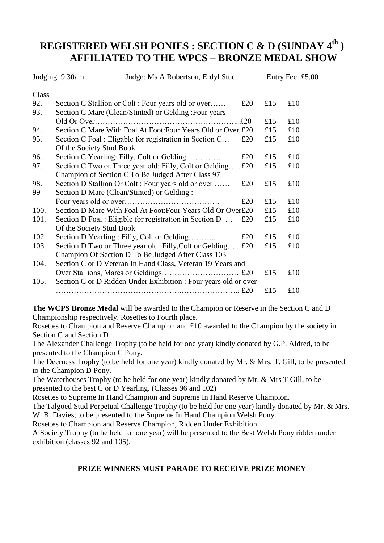## **REGISTERED WELSH PONIES : SECTION C & D (SUNDAY 4 th ) AFFILIATED TO THE WPCS – BRONZE MEDAL SHOW**

|       | Judging: 9.30am          | Judge: Ms A Robertson, Erdyl Stud                               |     |     | Entry Fee: £5.00 |
|-------|--------------------------|-----------------------------------------------------------------|-----|-----|------------------|
| Class |                          |                                                                 |     |     |                  |
| 92.   |                          | Section C Stallion or Colt : Four years old or over             | £20 | £15 | £10              |
| 93.   |                          | Section C Mare (Clean/Stinted) or Gelding: Four years           |     |     |                  |
|       |                          |                                                                 | £20 | £15 | £10              |
| 94.   |                          | Section C Mare With Foal At Foot: Four Years Old or Over £20    |     | £15 | £10              |
| 95.   |                          | Section C Foal : Eligable for registration in Section C         | £20 | £15 | £10              |
|       | Of the Society Stud Book |                                                                 |     |     |                  |
| 96.   |                          | Section C Yearling: Filly, Colt or Gelding                      | £20 | £15 | £10              |
| 97.   |                          | Section C Two or Three year old: Filly, Colt or Gelding         | £20 | £15 | £10              |
|       |                          | Champion of Section C To Be Judged After Class 97               |     |     |                  |
| 98.   |                          | Section D Stallion Or Colt: Four years old or over              | £20 | £15 | £10              |
| 99    |                          | Section D Mare (Clean/Stinted) or Gelding:                      |     |     |                  |
|       |                          |                                                                 | £20 | £15 | £10              |
| 100.  |                          | Section D Mare With Foal At Foot: Four Years Old Or Over£20     |     | £15 | £10              |
| 101.  |                          | Section D Foal : Eligible for registration in Section D         | £20 | £15 | £10              |
|       | Of the Society Stud Book |                                                                 |     |     |                  |
| 102.  |                          | Section D Yearling : Filly, Colt or Gelding                     | £20 | £15 | £10              |
| 103.  |                          | Section D Two or Three year old: Filly, Colt or Gelding         | £20 | £15 | £10              |
|       |                          | Champion Of Section D To Be Judged After Class 103              |     |     |                  |
| 104.  |                          | Section C or D Veteran In Hand Class, Veteran 19 Years and      |     |     |                  |
|       |                          |                                                                 |     | £15 | £10              |
| 105.  |                          | Section C or D Ridden Under Exhibition : Four years old or over |     |     |                  |
|       |                          |                                                                 |     | £15 | £10              |

**The WCPS Bronze Medal** will be awarded to the Champion or Reserve in the Section C and D Championship respectively. Rosettes to Fourth place.

Rosettes to Champion and Reserve Champion and £10 awarded to the Champion by the society in Section C and Section D

The Alexander Challenge Trophy (to be held for one year) kindly donated by G.P. Aldred, to be presented to the Champion C Pony.

The Deerness Trophy (to be held for one year) kindly donated by Mr. & Mrs. T. Gill, to be presented to the Champion D Pony.

The Waterhouses Trophy (to be held for one year) kindly donated by Mr. & Mrs T Gill, to be presented to the best C or D Yearling. (Classes 96 and 102)

Rosettes to Supreme In Hand Champion and Supreme In Hand Reserve Champion.

The Talgoed Stud Perpetual Challenge Trophy (to be held for one year) kindly donated by Mr. & Mrs. W. B. Davies, to be presented to the Supreme In Hand Champion Welsh Pony.

Rosettes to Champion and Reserve Champion, Ridden Under Exhibition.

A Society Trophy (to be held for one year) will be presented to the Best Welsh Pony ridden under exhibition (classes 92 and 105).